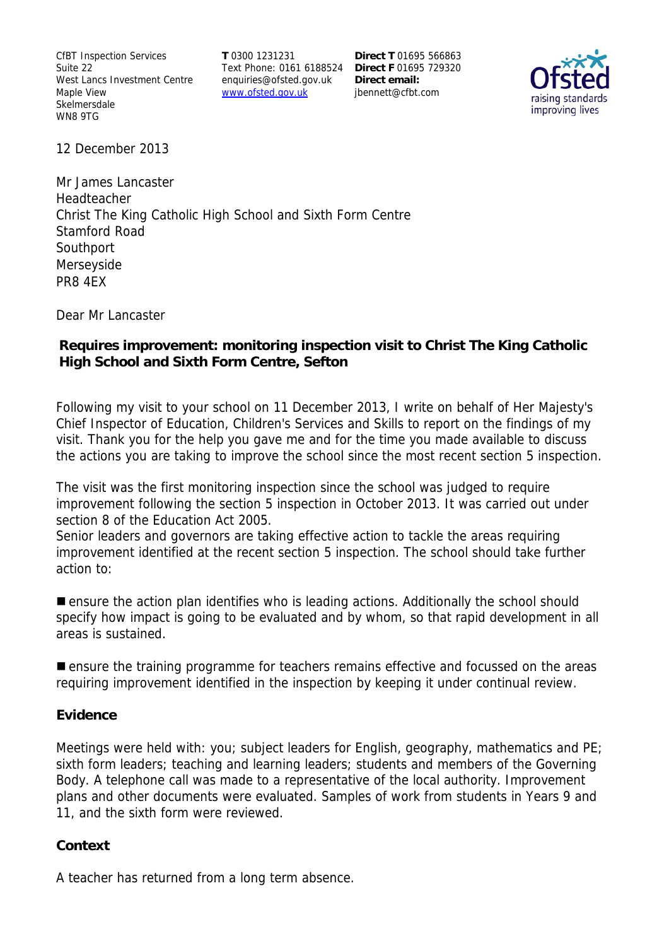CfBT Inspection Services Suite 22 West Lancs Investment Centre Maple View Skelmersdale WN8 9TG

**T** 0300 1231231 Text Phone: 0161 6188524 **Direct F** 01695 729320 enquiries@ofsted.gov.uk www.ofsted.gov.uk

**Direct T** 01695 566863 **Direct email:**  jbennett@cfbt.com



12 December 2013

Mr James Lancaster Headteacher Christ The King Catholic High School and Sixth Form Centre Stamford Road Southport Merseyside PR8 4EX

Dear Mr Lancaster

## **Requires improvement: monitoring inspection visit to Christ The King Catholic High School and Sixth Form Centre, Sefton**

Following my visit to your school on 11 December 2013, I write on behalf of Her Majesty's Chief Inspector of Education, Children's Services and Skills to report on the findings of my visit. Thank you for the help you gave me and for the time you made available to discuss the actions you are taking to improve the school since the most recent section 5 inspection.

The visit was the first monitoring inspection since the school was judged to require improvement following the section 5 inspection in October 2013. It was carried out under section 8 of the Education Act 2005.

Senior leaders and governors are taking effective action to tackle the areas requiring improvement identified at the recent section 5 inspection. The school should take further action to:

**E** ensure the action plan identifies who is leading actions. Additionally the school should specify how impact is going to be evaluated and by whom, so that rapid development in all areas is sustained.

**E** ensure the training programme for teachers remains effective and focussed on the areas requiring improvement identified in the inspection by keeping it under continual review.

#### **Evidence**

Meetings were held with: you; subject leaders for English, geography, mathematics and PE; sixth form leaders; teaching and learning leaders; students and members of the Governing Body. A telephone call was made to a representative of the local authority. Improvement plans and other documents were evaluated. Samples of work from students in Years 9 and 11, and the sixth form were reviewed.

## **Context**

A teacher has returned from a long term absence.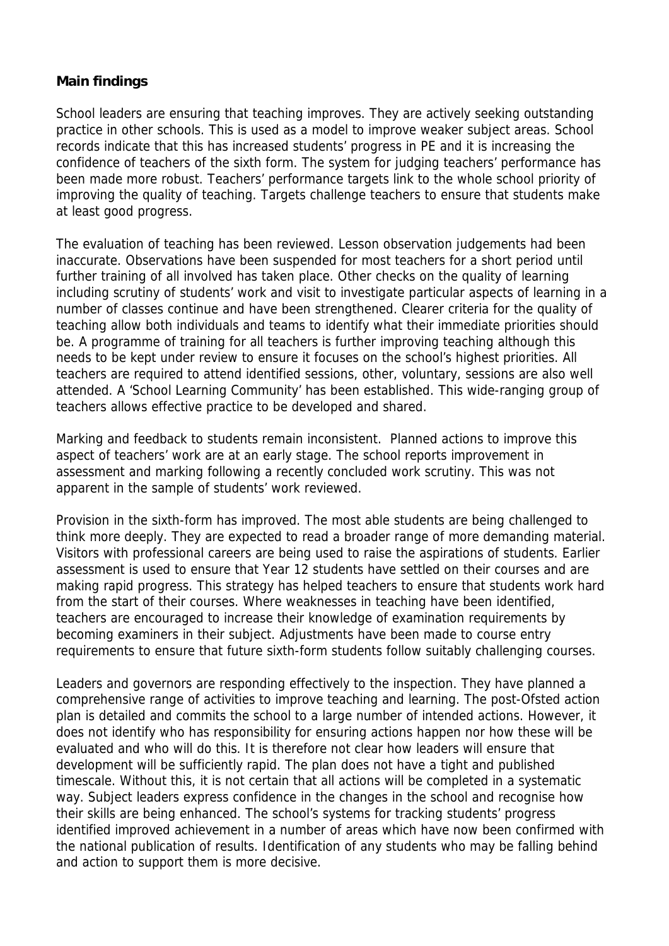## **Main findings**

School leaders are ensuring that teaching improves. They are actively seeking outstanding practice in other schools. This is used as a model to improve weaker subject areas. School records indicate that this has increased students' progress in PE and it is increasing the confidence of teachers of the sixth form. The system for judging teachers' performance has been made more robust. Teachers' performance targets link to the whole school priority of improving the quality of teaching. Targets challenge teachers to ensure that students make at least good progress.

The evaluation of teaching has been reviewed. Lesson observation judgements had been inaccurate. Observations have been suspended for most teachers for a short period until further training of all involved has taken place. Other checks on the quality of learning including scrutiny of students' work and visit to investigate particular aspects of learning in a number of classes continue and have been strengthened. Clearer criteria for the quality of teaching allow both individuals and teams to identify what their immediate priorities should be. A programme of training for all teachers is further improving teaching although this needs to be kept under review to ensure it focuses on the school's highest priorities. All teachers are required to attend identified sessions, other, voluntary, sessions are also well attended. A 'School Learning Community' has been established. This wide-ranging group of teachers allows effective practice to be developed and shared.

Marking and feedback to students remain inconsistent. Planned actions to improve this aspect of teachers' work are at an early stage. The school reports improvement in assessment and marking following a recently concluded work scrutiny. This was not apparent in the sample of students' work reviewed.

Provision in the sixth-form has improved. The most able students are being challenged to think more deeply. They are expected to read a broader range of more demanding material. Visitors with professional careers are being used to raise the aspirations of students. Earlier assessment is used to ensure that Year 12 students have settled on their courses and are making rapid progress. This strategy has helped teachers to ensure that students work hard from the start of their courses. Where weaknesses in teaching have been identified, teachers are encouraged to increase their knowledge of examination requirements by becoming examiners in their subject. Adjustments have been made to course entry requirements to ensure that future sixth-form students follow suitably challenging courses.

Leaders and governors are responding effectively to the inspection. They have planned a comprehensive range of activities to improve teaching and learning. The post-Ofsted action plan is detailed and commits the school to a large number of intended actions. However, it does not identify who has responsibility for ensuring actions happen nor how these will be evaluated and who will do this. It is therefore not clear how leaders will ensure that development will be sufficiently rapid. The plan does not have a tight and published timescale. Without this, it is not certain that all actions will be completed in a systematic way. Subject leaders express confidence in the changes in the school and recognise how their skills are being enhanced. The school's systems for tracking students' progress identified improved achievement in a number of areas which have now been confirmed with the national publication of results. Identification of any students who may be falling behind and action to support them is more decisive.